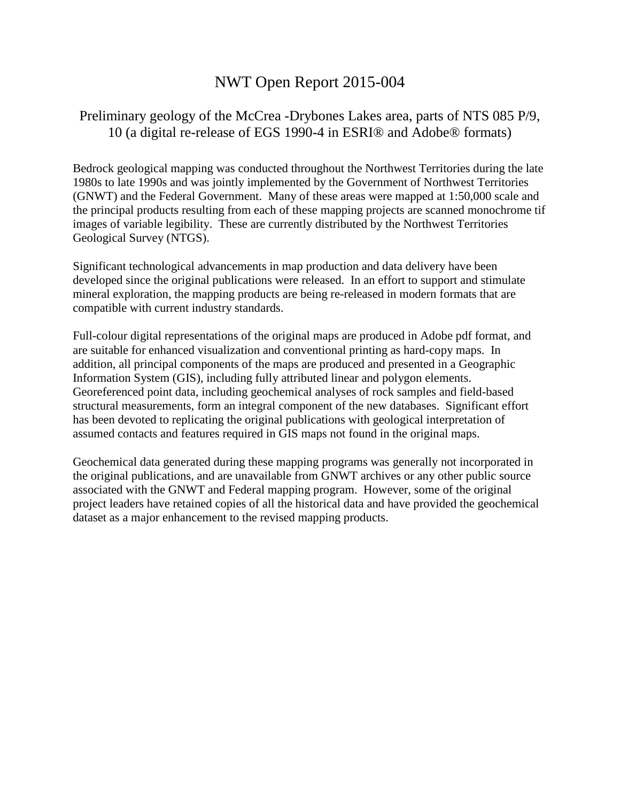# NWT Open Report 2015-004

## Preliminary geology of the McCrea -Drybones Lakes area, parts of NTS 085 P/9, 10 (a digital re-release of EGS 1990-4 in ESRI® and Adobe® formats)

Bedrock geological mapping was conducted throughout the Northwest Territories during the late 1980s to late 1990s and was jointly implemented by the Government of Northwest Territories (GNWT) and the Federal Government. Many of these areas were mapped at 1:50,000 scale and the principal products resulting from each of these mapping projects are scanned monochrome tif images of variable legibility. These are currently distributed by the Northwest Territories Geological Survey (NTGS).

Significant technological advancements in map production and data delivery have been developed since the original publications were released. In an effort to support and stimulate mineral exploration, the mapping products are being re-released in modern formats that are compatible with current industry standards.

Full-colour digital representations of the original maps are produced in Adobe pdf format, and are suitable for enhanced visualization and conventional printing as hard-copy maps. In addition, all principal components of the maps are produced and presented in a Geographic Information System (GIS), including fully attributed linear and polygon elements. Georeferenced point data, including geochemical analyses of rock samples and field-based structural measurements, form an integral component of the new databases. Significant effort has been devoted to replicating the original publications with geological interpretation of assumed contacts and features required in GIS maps not found in the original maps.

Geochemical data generated during these mapping programs was generally not incorporated in the original publications, and are unavailable from GNWT archives or any other public source associated with the GNWT and Federal mapping program. However, some of the original project leaders have retained copies of all the historical data and have provided the geochemical dataset as a major enhancement to the revised mapping products.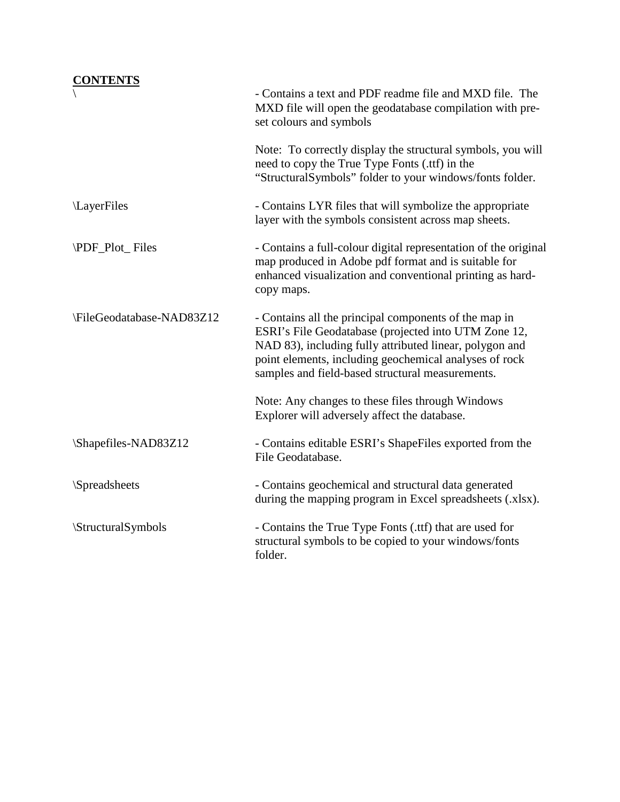## **CONTENTS**

|                                 | - Contains a text and PDF readme file and MXD file. The<br>MXD file will open the geodatabase compilation with pre-<br>set colours and symbols                                                                                                                                         |
|---------------------------------|----------------------------------------------------------------------------------------------------------------------------------------------------------------------------------------------------------------------------------------------------------------------------------------|
|                                 | Note: To correctly display the structural symbols, you will<br>need to copy the True Type Fonts (.ttf) in the<br>"StructuralSymbols" folder to your windows/fonts folder.                                                                                                              |
| LayerFiles                      | - Contains LYR files that will symbolize the appropriate<br>layer with the symbols consistent across map sheets.                                                                                                                                                                       |
| \PDF_Plot_Files                 | - Contains a full-colour digital representation of the original<br>map produced in Adobe pdf format and is suitable for<br>enhanced visualization and conventional printing as hard-<br>copy maps.                                                                                     |
| \FileGeodatabase-NAD83Z12       | - Contains all the principal components of the map in<br>ESRI's File Geodatabase (projected into UTM Zone 12,<br>NAD 83), including fully attributed linear, polygon and<br>point elements, including geochemical analyses of rock<br>samples and field-based structural measurements. |
|                                 | Note: Any changes to these files through Windows<br>Explorer will adversely affect the database.                                                                                                                                                                                       |
| \Shapefiles-NAD83Z12            | - Contains editable ESRI's ShapeFiles exported from the<br>File Geodatabase.                                                                                                                                                                                                           |
| <i><b>Spreadsheets</b></i>      | - Contains geochemical and structural data generated<br>during the mapping program in Excel spreadsheets (.xlsx).                                                                                                                                                                      |
| <i><b>StructuralSymbols</b></i> | - Contains the True Type Fonts (.ttf) that are used for<br>structural symbols to be copied to your windows/fonts<br>folder.                                                                                                                                                            |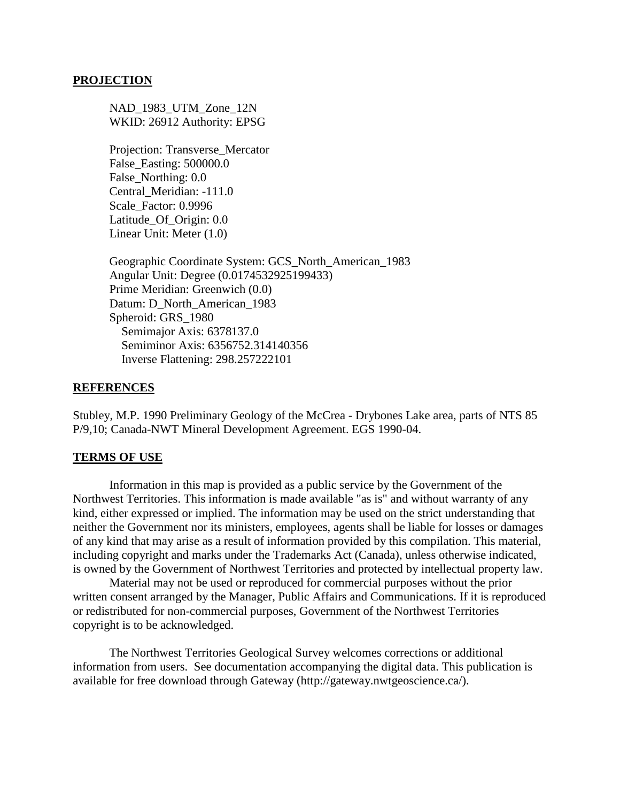#### **PROJECTION**

NAD 1983 UTM Zone 12N WKID: 26912 Authority: EPSG

Projection: Transverse\_Mercator False\_Easting: 500000.0 False\_Northing: 0.0 Central\_Meridian: -111.0 Scale\_Factor: 0.9996 Latitude\_Of\_Origin: 0.0 Linear Unit: Meter (1.0)

Geographic Coordinate System: GCS\_North\_American\_1983 Angular Unit: Degree (0.0174532925199433) Prime Meridian: Greenwich (0.0) Datum: D\_North\_American\_1983 Spheroid: GRS\_1980 Semimajor Axis: 6378137.0 Semiminor Axis: 6356752.314140356 Inverse Flattening: 298.257222101

#### **REFERENCES**

Stubley, M.P. 1990 Preliminary Geology of the McCrea - Drybones Lake area, parts of NTS 85 P/9,10; Canada-NWT Mineral Development Agreement. EGS 1990-04.

#### **TERMS OF USE**

Information in this map is provided as a public service by the Government of the Northwest Territories. This information is made available "as is" and without warranty of any kind, either expressed or implied. The information may be used on the strict understanding that neither the Government nor its ministers, employees, agents shall be liable for losses or damages of any kind that may arise as a result of information provided by this compilation. This material, including copyright and marks under the Trademarks Act (Canada), unless otherwise indicated, is owned by the Government of Northwest Territories and protected by intellectual property law.

Material may not be used or reproduced for commercial purposes without the prior written consent arranged by the Manager, Public Affairs and Communications. If it is reproduced or redistributed for non-commercial purposes, Government of the Northwest Territories copyright is to be acknowledged.

The Northwest Territories Geological Survey welcomes corrections or additional information from users. See documentation accompanying the digital data. This publication is available for free download through Gateway (http://gateway.nwtgeoscience.ca/).